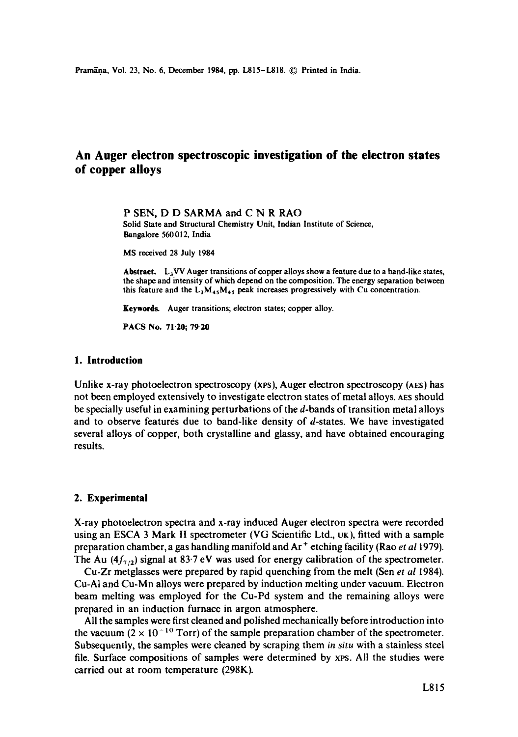# **An Auger electron spectroscopic investigation of the electron states of copper alloys**

P SEN, D D SARMA and C N R RAO Solid State and Structural Chemistry Unit, Indian Institute of Science, Bangalore 560012, India

MS received 28 July 1984

**Abstract.** LaVV Auger transitions of copper alloys show a feature due to a band-like states, the shape and intensity of which depend on the composition. The energy separation between this feature and the  $L_3M_{45}M_{45}$  peak increases progressively with Cu concentration.

**Keywords.** Auger transitions; electron states; copper alloy.

PACS No. 71.20; 79-20

### **1. Introduction**

Unlike x-ray photoelectron spectroscopy (xes), Auger electron spectroscopy (AES) has not been employed extensively to investigate electron states of metal alloys. AES should be specially useful in examining perturbations of the d-bands of transition metal alloys and to observe features due to band-like density of  $d$ -states. We have investigated several alloys of copper, both crystalline and glassy, and have obtained encouraging results.

#### **2. Experimental**

X-ray photoelectron spectra and x-ray induced Auger electron spectra were recorded using an ESCA 3 Mark II spectrometer (VG Scientific Ltd., UK), fitted with a sample preparation chamber, a gas handling manifold and Ar ÷ etching facility (Rao *et a11979).*  The Au  $(4f_{7/2})$  signal at 83.7 eV was used for energy calibration of the spectrometer.

Cu-Zr metglasses were prepared by rapid quenching from the melt (Sen *et al* 1984). Cu-AI and Cu-Mn alloys were prepared by induction melting under vacuum. Electron beam melting was employed for the Cu-Pd system and the remaining alloys were prepared in an induction furnace in argon atmosphere.

All the samples were first cleaned and polished mechanically before introduction into the vacuum ( $2 \times 10^{-10}$  Torr) of the sample preparation chamber of the spectrometer. Subsequently, the samples were cleaned by scraping them *in situ* with a stainless steel file. Surface compositions of samples were determined by xps. All the studies were carried out at room temperature (298K).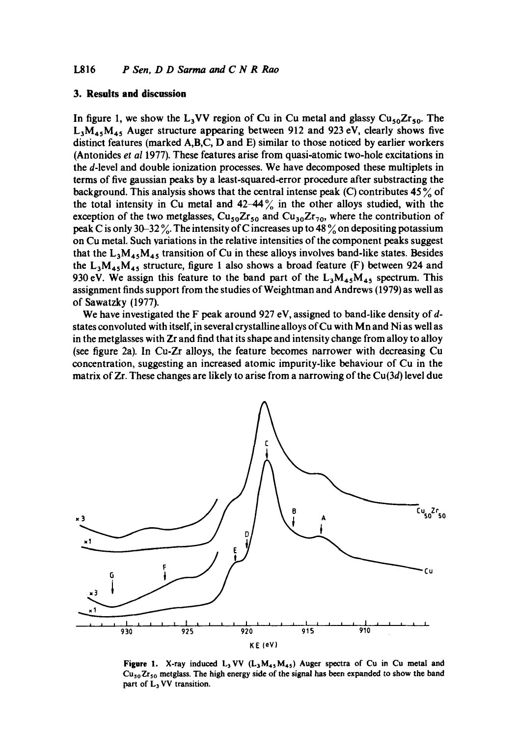#### **3. Results and discussion**

In figure 1, we show the L<sub>3</sub>VV region of Cu in Cu metal and glassy  $Cu_{50}Zr_{50}$ . The  $L_3M_{45}M_{45}$  Auger structure appearing between 912 and 923 eV, clearly shows five distinct features (marked A,B,C, D and E) similar to those noticed by earlier workers (Antonides *et al* 1977). These features arise from quasi-atomic two-hole excitations in the d-level and double ionization processes. We have decomposed these multiplets in terms of five gaussian peaks by a least-squared-error procedure after substracting the background. This analysis shows that the central intense peak  $(C)$  contributes 45 $\frac{9}{6}$  of the total intensity in Cu metal and  $42-44\%$  in the other alloys studied, with the exception of the two metglasses,  $Cu_{50}Zr_{50}$  and  $Cu_{30}Zr_{70}$ , where the contribution of peak C is only 30–32 %. The intensity of C increases up to 48 % on depositing potassium on Cu metal. Such variations in the relative intensities of the component peaks suggest that the  $L_3M_{45}M_{45}$  transition of Cu in these alloys involves band-like states. Besides the  $L_3M_{45}M_{45}$  structure, figure 1 also shows a broad feature (F) between 924 and 930 eV. We assign this feature to the band part of the  $L_3M_{45}M_{45}$  spectrum. This assignment finds support from the studies of Weightman and Andrews (1979) as well as of Sawatzky (1977).

We have investigated the F peak around 927 eV, assigned to band-like density of dstates convoluted with itself, in several crystalline alloys of Cu with Mn and Ni as well as in the metglasses with Zr and find that its shape and intensity change from alloy to alloy (see figure 2a). In Cu-Zr alloys, the feature becomes narrower with decreasing Cu concentration, suggesting an increased atomic impurity-like behaviour of Cu in the matrix of  $Zr$ . These changes are likely to arise from a narrowing of the  $Cu(3d)$  level due



Figure 1. X-ray induced  $L_3$  VV  $(L_3M_{45}M_{45})$  Auger spectra of Cu in Cu metal and  $Cu_{50}Zr_{50}$  metglass. The high energy side of the signal has been expanded to show the band part of L<sub>3</sub> VV transition.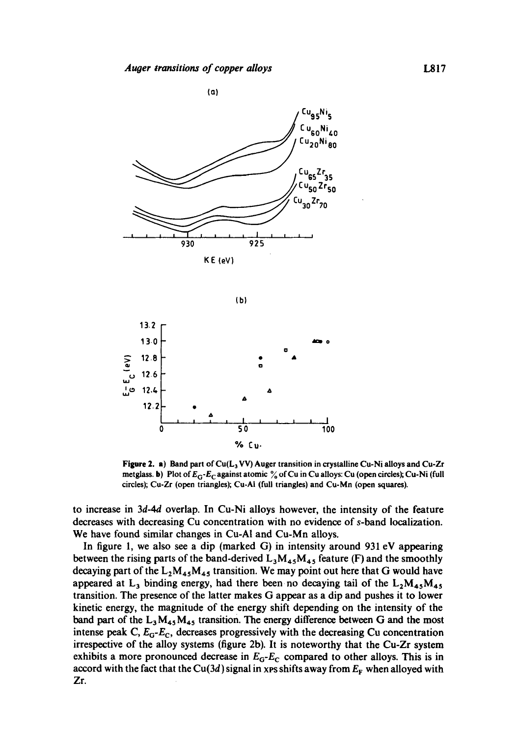

$$
\langle \mathbf{b} \rangle
$$



Figure 2. a) Band part of Cu(L<sub>3</sub> VV) Auger transition in crystalline Cu-Ni alloys and Cu-Zr metglass. b) Plot of  $E_G$ - $E_C$  against atomic % of Cu in Cu alloys: Cu (open circles); Cu-Ni (full circles); Cu-Zr (open triangles); Cu-AI (full triangles) and Cu-Mn (open squares).

to increase in 3d-4d overlap. In Cu-Ni alloys however, the intensity of the feature decreases with decreasing Cu concentration with no evidence of s-band localization. We have found similar changes in Cu-A1 and Cu-Mn alloys.

In figure 1, we also see a dip (marked G) in intensity around 931 eV appearing between the rising parts of the band-derived  $L_3M_{45}M_{45}$  feature (F) and the smoothly decaying part of the  $L_2M_{45}M_{45}$  transition. We may point out here that G would have appeared at  $L_3$  binding energy, had there been no decaying tail of the  $L_2M_{45}M_{45}$ transition. The presence of the latter makes G appear as a dip and pushes it to lower kinetic energy, the magnitude of the energy shift depending on the intensity of the band part of the  $L_3 M_{45} M_{45}$  transition. The energy difference between G and the most intense peak C, *EG-Ec,* decreases progressively with the decreasing Cu concentration irrespective of the alloy systems (figure 2b). It is noteworthy that the Cu-Zr system exhibits a more pronounced decrease in  $E_6$ - $E_6$  compared to other alloys. This is in accord with the fact that the Cu(3d) signal in xps shifts away from  $E_F$  when alloyed with Zr.